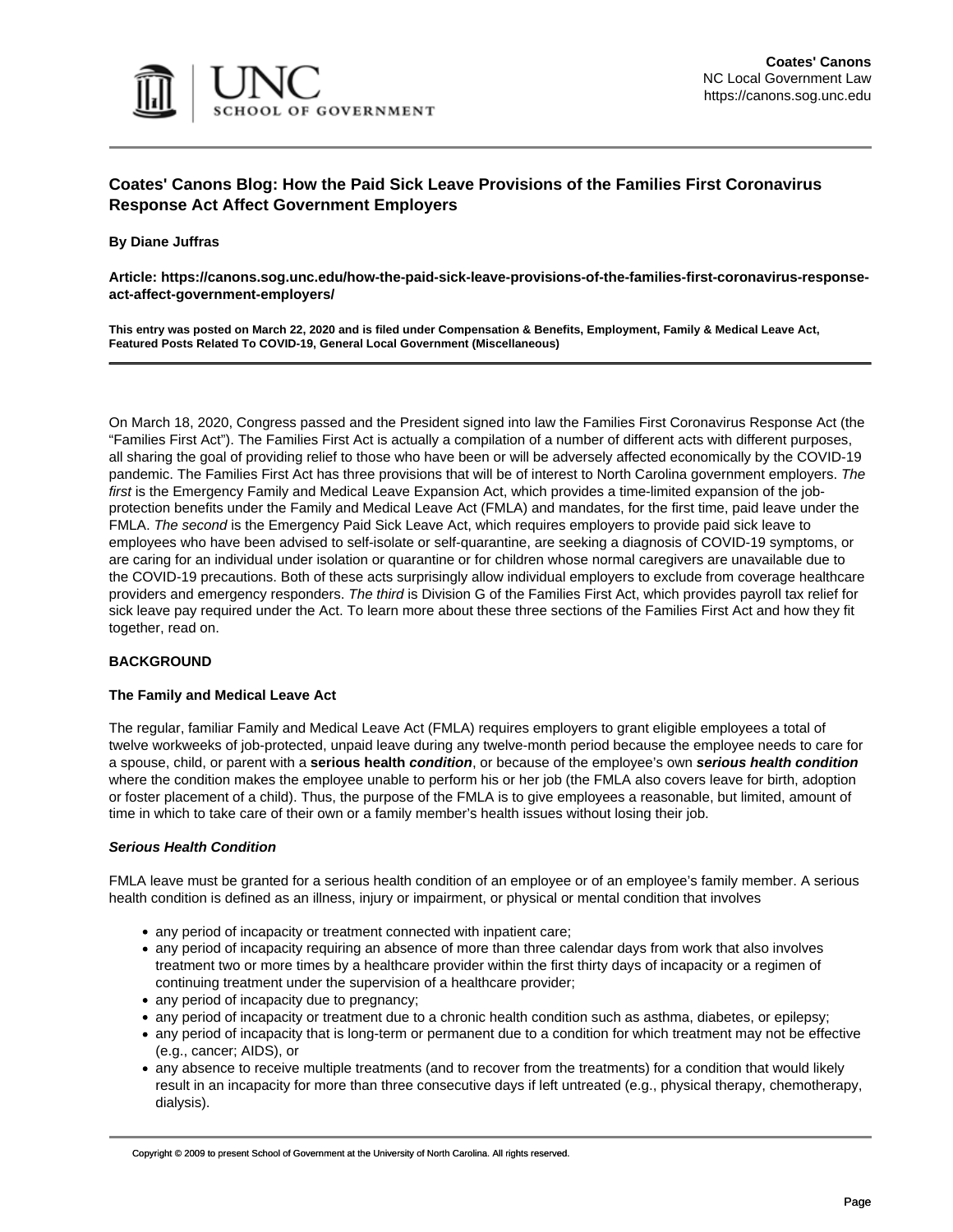

# **Coates' Canons Blog: How the Paid Sick Leave Provisions of the Families First Coronavirus Response Act Affect Government Employers**

### **By Diane Juffras**

**Article: https://canons.sog.unc.edu/how-the-paid-sick-leave-provisions-of-the-families-first-coronavirus-responseact-affect-government-employers/**

**This entry was posted on March 22, 2020 and is filed under Compensation & Benefits, Employment, Family & Medical Leave Act, Featured Posts Related To COVID-19, General Local Government (Miscellaneous)**

On March 18, 2020, Congress passed and the President signed into law the [Families First Coronavirus Response Act](https://www.congress.gov/bill/116th-congress/house-bill/6201/text) (the "Families First Act"). The Families First Act is actually a compilation of a number of different acts with different purposes, all sharing the goal of providing relief to those who have been or will be adversely affected economically by the COVID-19 pandemic. The Families First Act has three provisions that will be of interest to North Carolina government employers. The first is the Emergency Family and Medical Leave Expansion Act, which provides a time-limited expansion of the jobprotection benefits under the Family and Medical Leave Act (FMLA) and mandates, for the first time, paid leave under the FMLA. The second is the Emergency Paid Sick Leave Act, which requires employers to provide paid sick leave to employees who have been advised to self-isolate or self-quarantine, are seeking a diagnosis of COVID-19 symptoms, or are caring for an individual under isolation or quarantine or for children whose normal caregivers are unavailable due to the COVID-19 precautions. Both of these acts surprisingly allow individual employers to exclude from coverage healthcare providers and emergency responders. The third is Division G of the Families First Act, which provides payroll tax relief for sick leave pay required under the Act. To learn more about these three sections of the Families First Act and how they fit together, read on.

# **BACKGROUND**

# **The Family and Medical Leave Act**

The regular, familiar Family and Medical Leave Act (FMLA) requires employers to grant eligible employees a total of twelve workweeks of job-protected, unpaid leave during any twelve-month period because the employee needs to care for a spouse, child, or parent with a **serious health condition**, or because of the employee's own **serious health condition** where the condition makes the employee unable to perform his or her job (the FMLA also covers leave for birth, adoption or foster placement of a child). Thus, the purpose of the FMLA is to give employees a reasonable, but limited, amount of time in which to take care of their own or a family member's health issues without losing their job.

# **Serious Health Condition**

FMLA leave must be granted for a serious health condition of an employee or of an employee's family member. A serious health condition is defined as an illness, injury or impairment, or physical or mental condition that involves

- any period of incapacity or treatment connected with inpatient care;
- any period of incapacity requiring an absence of more than three calendar days from work that also involves treatment two or more times by a healthcare provider within the first thirty days of incapacity or a regimen of continuing treatment under the supervision of a healthcare provider;
- any period of incapacity due to pregnancy;
- any period of incapacity or treatment due to a chronic health condition such as asthma, diabetes, or epilepsy;
- any period of incapacity that is long-term or permanent due to a condition for which treatment may not be effective (e.g., cancer; AIDS), or
- any absence to receive multiple treatments (and to recover from the treatments) for a condition that would likely result in an incapacity for more than three consecutive days if left untreated (e.g., physical therapy, chemotherapy, dialysis).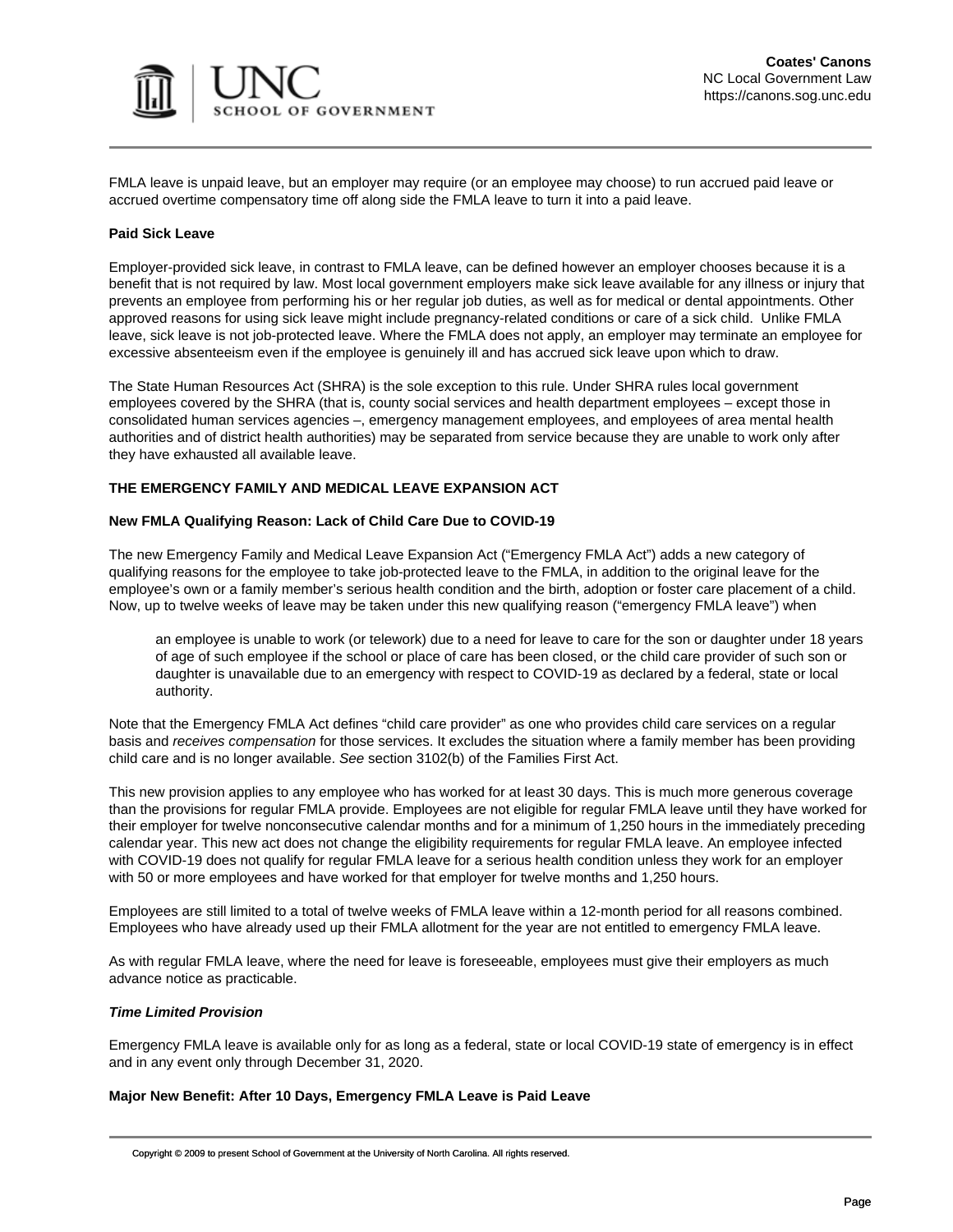

FMLA leave is unpaid leave, but an employer may require (or an employee may choose) to run accrued paid leave or accrued overtime compensatory time off along side the FMLA leave to turn it into a paid leave.

### **Paid Sick Leave**

Employer-provided sick leave, in contrast to FMLA leave, can be defined however an employer chooses because it is a benefit that is not required by law. Most local government employers make sick leave available for any illness or injury that prevents an employee from performing his or her regular job duties, as well as for medical or dental appointments. Other approved reasons for using sick leave might include pregnancy-related conditions or care of a sick child. Unlike FMLA leave, sick leave is not job-protected leave. Where the FMLA does not apply, an employer may terminate an employee for excessive absenteeism even if the employee is genuinely ill and has accrued sick leave upon which to draw.

The State Human Resources Act (SHRA) is the sole exception to this rule. Under SHRA rules local government employees covered by the SHRA (that is, county social services and health department employees – except those in consolidated human services agencies –, emergency management employees, and employees of area mental health authorities and of district health authorities) may be separated from service because they are unable to work only after they have exhausted all available leave.

# **THE EMERGENCY FAMILY AND MEDICAL LEAVE EXPANSION ACT**

#### **New FMLA Qualifying Reason: Lack of Child Care Due to COVID-19**

The new Emergency Family and Medical Leave Expansion Act ("Emergency FMLA Act") adds a new category of qualifying reasons for the employee to take job-protected leave to the FMLA, in addition to the original leave for the employee's own or a family member's serious health condition and the birth, adoption or foster care placement of a child. Now, up to twelve weeks of leave may be taken under this new qualifying reason ("emergency FMLA leave") when

an employee is unable to work (or telework) due to a need for leave to care for the son or daughter under 18 years of age of such employee if the school or place of care has been closed, or the child care provider of such son or daughter is unavailable due to an emergency with respect to COVID-19 as declared by a federal, state or local authority.

Note that the Emergency FMLA Act defines "child care provider" as one who provides child care services on a regular basis and receives compensation for those services. It excludes the situation where a family member has been providing child care and is no longer available. See section 3102(b) of the Families First Act.

This new provision applies to any employee who has worked for at least 30 days. This is much more generous coverage than the provisions for regular FMLA provide. Employees are not eligible for regular FMLA leave until they have worked for their employer for twelve nonconsecutive calendar months and for a minimum of 1,250 hours in the immediately preceding calendar year. This new act does not change the eligibility requirements for regular FMLA leave. An employee infected with COVID-19 does not qualify for regular FMLA leave for a serious health condition unless they work for an employer with 50 or more employees and have worked for that employer for twelve months and 1,250 hours.

Employees are still limited to a total of twelve weeks of FMLA leave within a 12-month period for all reasons combined. Employees who have already used up their FMLA allotment for the year are not entitled to emergency FMLA leave.

As with regular FMLA leave, where the need for leave is foreseeable, employees must give their employers as much advance notice as practicable.

#### **Time Limited Provision**

Emergency FMLA leave is available only for as long as a federal, state or local COVID-19 state of emergency is in effect and in any event only through December 31, 2020.

#### **Major New Benefit: After 10 Days, Emergency FMLA Leave is Paid Leave**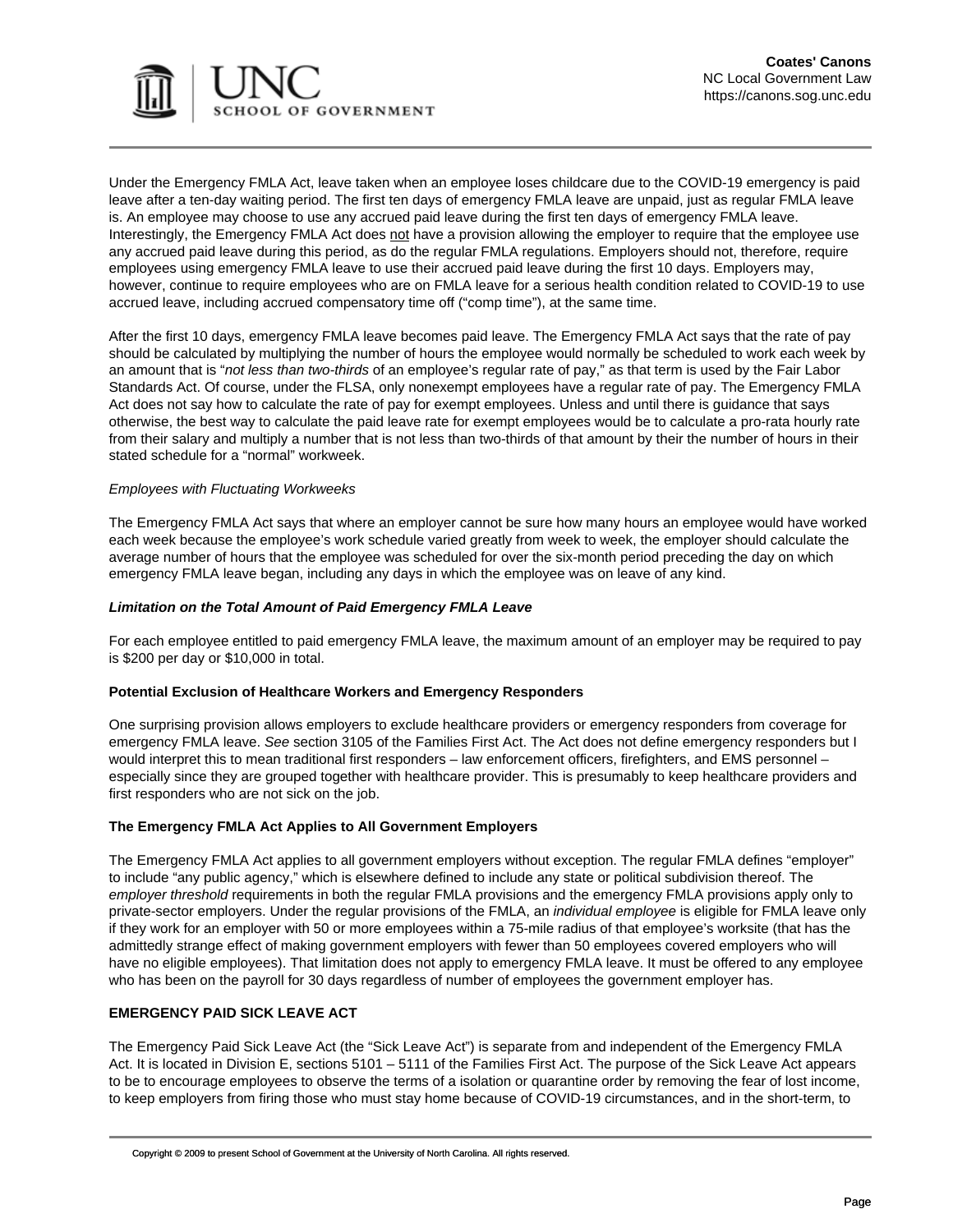

Under the Emergency FMLA Act, leave taken when an employee loses childcare due to the COVID-19 emergency is paid leave after a ten-day waiting period. The first ten days of emergency FMLA leave are unpaid, just as regular FMLA leave is. An employee may choose to use any accrued paid leave during the first ten days of emergency FMLA leave. Interestingly, the Emergency FMLA Act does not have a provision allowing the employer to require that the employee use any accrued paid leave during this period, as do [the regular FMLA regulations.](https://www.law.cornell.edu/cfr/text/29/825.207) Employers should not, therefore, require employees using emergency FMLA leave to use their accrued paid leave during the first 10 days. Employers may, however, continue to require employees who are on FMLA leave for a serious health condition related to COVID-19 to use accrued leave, including accrued compensatory time off ("comp time"), at the same time.

After the first 10 days, emergency FMLA leave becomes paid leave. The Emergency FMLA Act says that the rate of pay should be calculated by multiplying the number of hours the employee would normally be scheduled to work each week by an amount that is "not less than two-thirds of an employee's regular rate of pay," as that term is used by the Fair Labor Standards Act. Of course, under the FLSA, only nonexempt employees have a regular rate of pay. The Emergency FMLA Act does not say how to calculate the rate of pay for exempt employees. Unless and until there is guidance that says otherwise, the best way to calculate the paid leave rate for exempt employees would be to calculate a pro-rata hourly rate from their salary and multiply a number that is not less than two-thirds of that amount by their the number of hours in their stated schedule for a "normal" workweek.

#### Employees with Fluctuating Workweeks

The Emergency FMLA Act says that where an employer cannot be sure how many hours an employee would have worked each week because the employee's work schedule varied greatly from week to week, the employer should calculate the average number of hours that the employee was scheduled for over the six-month period preceding the day on which emergency FMLA leave began, including any days in which the employee was on leave of any kind.

#### **Limitation on the Total Amount of Paid Emergency FMLA Leave**

For each employee entitled to paid emergency FMLA leave, the maximum amount of an employer may be required to pay is \$200 per day or \$10,000 in total.

# **Potential Exclusion of Healthcare Workers and Emergency Responders**

One surprising provision allows employers to exclude healthcare providers or emergency responders from coverage for emergency FMLA leave. See section 3105 of the Families First Act. The Act does not define emergency responders but I would interpret this to mean traditional first responders – law enforcement officers, firefighters, and EMS personnel – especially since they are grouped together with healthcare provider. This is presumably to keep healthcare providers and first responders who are not sick on the job.

# **The Emergency FMLA Act Applies to All Government Employers**

The Emergency FMLA Act applies to all government employers without exception. The regular [FMLA defines "employer"](https://www.law.cornell.edu/uscode/text/29/2611) to include "any public agency," which is [elsewhere defined](https://www.law.cornell.edu/uscode/text/29/203#x) to include any state or political subdivision thereof. The employer threshold requirements in both the regular FMLA provisions and the emergency FMLA provisions apply only to private-sector employers. [Under the regular provisions of the FMLA](https://www.law.cornell.edu/uscode/text/29/2611), an *individual employee* is eligible for FMLA leave only if they work for an employer with 50 or more employees within a 75-mile radius of that employee's worksite (that has the admittedly strange effect of making government employers with fewer than 50 employees covered employers who will have no eligible employees). That limitation does not apply to emergency FMLA leave. It must be offered to any employee who has been on the payroll for 30 days regardless of number of employees the government employer has.

# **EMERGENCY PAID SICK LEAVE ACT**

The Emergency Paid Sick Leave Act (the "Sick Leave Act") is separate from and independent of the Emergency FMLA Act. It is located in Division E, sections 5101 – 5111 of the [Families First Act.](https://www.congress.gov/bill/116th-congress/house-bill/6201/text) The purpose of the Sick Leave Act appears to be to encourage employees to observe the terms of a isolation or quarantine order by removing the fear of lost income, to keep employers from firing those who must stay home because of COVID-19 circumstances, and in the short-term, to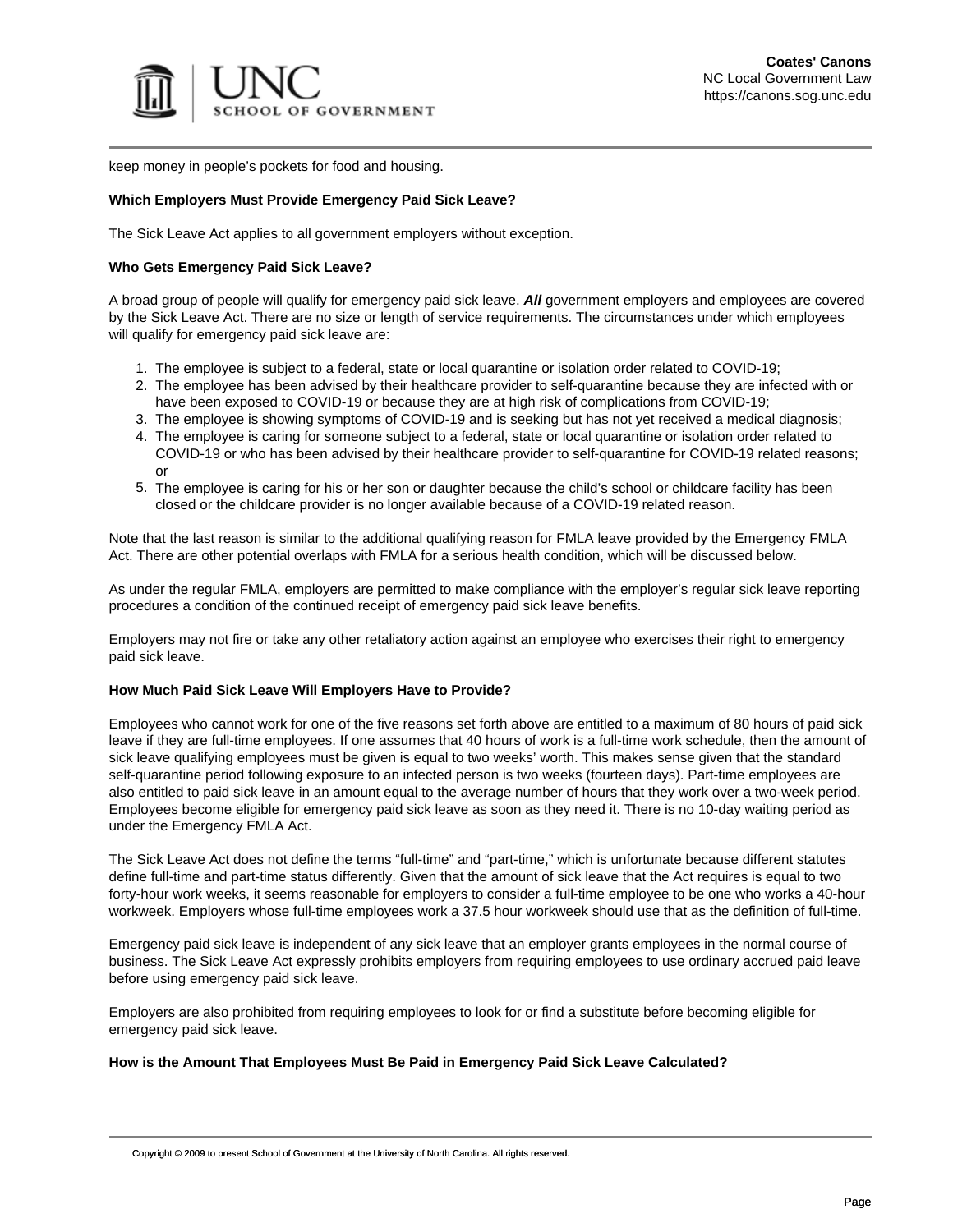

keep money in people's pockets for food and housing.

#### **Which Employers Must Provide Emergency Paid Sick Leave?**

The Sick Leave Act applies to all government employers without exception.

#### **Who Gets Emergency Paid Sick Leave?**

A broad group of people will qualify for emergency paid sick leave. **All** government employers and employees are covered by the Sick Leave Act. There are no size or length of service requirements. The circumstances under which employees will qualify for emergency paid sick leave are:

- 1. The employee is subject to a federal, state or local quarantine or isolation order related to COVID-19;
- 2. The employee has been advised by their healthcare provider to self-quarantine because they are infected with or have been exposed to COVID-19 or because they are at high risk of complications from COVID-19;
- 3. The employee is showing symptoms of COVID-19 and is seeking but has not yet received a medical diagnosis;
- 4. The employee is caring for someone subject to a federal, state or local quarantine or isolation order related to COVID-19 or who has been advised by their healthcare provider to self-quarantine for COVID-19 related reasons; or
- 5. The employee is caring for his or her son or daughter because the child's school or childcare facility has been closed or the childcare provider is no longer available because of a COVID-19 related reason.

Note that the last reason is similar to the additional qualifying reason for FMLA leave provided by the Emergency FMLA Act. There are other potential overlaps with FMLA for a serious health condition, which will be discussed below.

As under the regular FMLA, employers are permitted to make compliance with the employer's regular sick leave reporting procedures a condition of the continued receipt of emergency paid sick leave benefits.

Employers may not fire or take any other retaliatory action against an employee who exercises their right to emergency paid sick leave.

#### **How Much Paid Sick Leave Will Employers Have to Provide?**

Employees who cannot work for one of the five reasons set forth above are entitled to a maximum of 80 hours of paid sick leave if they are full-time employees. If one assumes that 40 hours of work is a full-time work schedule, then the amount of sick leave qualifying employees must be given is equal to two weeks' worth. This makes sense given that the standard self-quarantine period following exposure to an infected person is two weeks (fourteen days). Part-time employees are also entitled to paid sick leave in an amount equal to the average number of hours that they work over a two-week period. Employees become eligible for emergency paid sick leave as soon as they need it. There is no 10-day waiting period as under the Emergency FMLA Act.

The Sick Leave Act does not define the terms "full-time" and "part-time," which is unfortunate because different statutes define full-time and part-time status differently. Given that the amount of sick leave that the Act requires is equal to two forty-hour work weeks, it seems reasonable for employers to consider a full-time employee to be one who works a 40-hour workweek. Employers whose full-time employees work a 37.5 hour workweek should use that as the definition of full-time.

Emergency paid sick leave is independent of any sick leave that an employer grants employees in the normal course of business. The Sick Leave Act expressly prohibits employers from requiring employees to use ordinary accrued paid leave before using emergency paid sick leave.

Employers are also prohibited from requiring employees to look for or find a substitute before becoming eligible for emergency paid sick leave.

#### **How is the Amount That Employees Must Be Paid in Emergency Paid Sick Leave Calculated?**

Copyright © 2009 to present School of Government at the University of North Carolina. All rights reserved.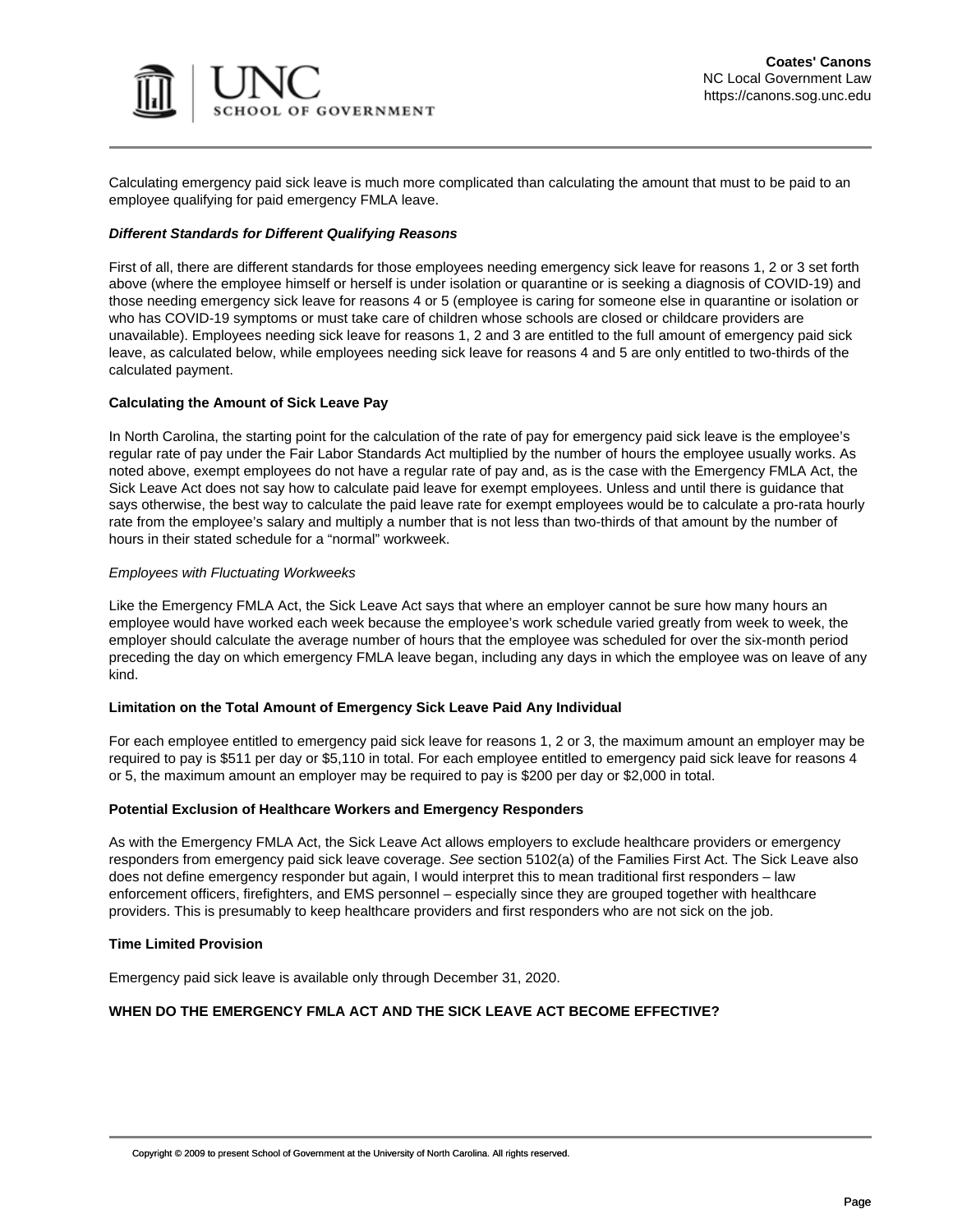

Calculating emergency paid sick leave is much more complicated than calculating the amount that must to be paid to an employee qualifying for paid emergency FMLA leave.

# **Different Standards for Different Qualifying Reasons**

First of all, there are different standards for those employees needing emergency sick leave for reasons 1, 2 or 3 set forth above (where the employee himself or herself is under isolation or quarantine or is seeking a diagnosis of COVID-19) and those needing emergency sick leave for reasons 4 or 5 (employee is caring for someone else in quarantine or isolation or who has COVID-19 symptoms or must take care of children whose schools are closed or childcare providers are unavailable). Employees needing sick leave for reasons 1, 2 and 3 are entitled to the full amount of emergency paid sick leave, as calculated below, while employees needing sick leave for reasons 4 and 5 are only entitled to two-thirds of the calculated payment.

# **Calculating the Amount of Sick Leave Pay**

In North Carolina, the starting point for the calculation of the rate of pay for emergency paid sick leave is the employee's regular rate of pay under the Fair Labor Standards Act multiplied by the number of hours the employee usually works. As noted above, exempt employees do not have a regular rate of pay and, as is the case with the Emergency FMLA Act, the Sick Leave Act does not say how to calculate paid leave for exempt employees. Unless and until there is guidance that says otherwise, the best way to calculate the paid leave rate for exempt employees would be to calculate a pro-rata hourly rate from the employee's salary and multiply a number that is not less than two-thirds of that amount by the number of hours in their stated schedule for a "normal" workweek.

#### Employees with Fluctuating Workweeks

Like the Emergency FMLA Act, the Sick Leave Act says that where an employer cannot be sure how many hours an employee would have worked each week because the employee's work schedule varied greatly from week to week, the employer should calculate the average number of hours that the employee was scheduled for over the six-month period preceding the day on which emergency FMLA leave began, including any days in which the employee was on leave of any kind.

#### **Limitation on the Total Amount of Emergency Sick Leave Paid Any Individual**

For each employee entitled to emergency paid sick leave for reasons 1, 2 or 3, the maximum amount an employer may be required to pay is \$511 per day or \$5,110 in total. For each employee entitled to emergency paid sick leave for reasons 4 or 5, the maximum amount an employer may be required to pay is \$200 per day or \$2,000 in total.

# **Potential Exclusion of Healthcare Workers and Emergency Responders**

As with the Emergency FMLA Act, the Sick Leave Act allows employers to exclude healthcare providers or emergency responders from emergency paid sick leave coverage. See section 5102(a) of the Families First Act. The Sick Leave also does not define emergency responder but again, I would interpret this to mean traditional first responders – law enforcement officers, firefighters, and EMS personnel – especially since they are grouped together with healthcare providers. This is presumably to keep healthcare providers and first responders who are not sick on the job.

# **Time Limited Provision**

Emergency paid sick leave is available only through December 31, 2020.

# **WHEN DO THE EMERGENCY FMLA ACT AND THE SICK LEAVE ACT BECOME EFFECTIVE?**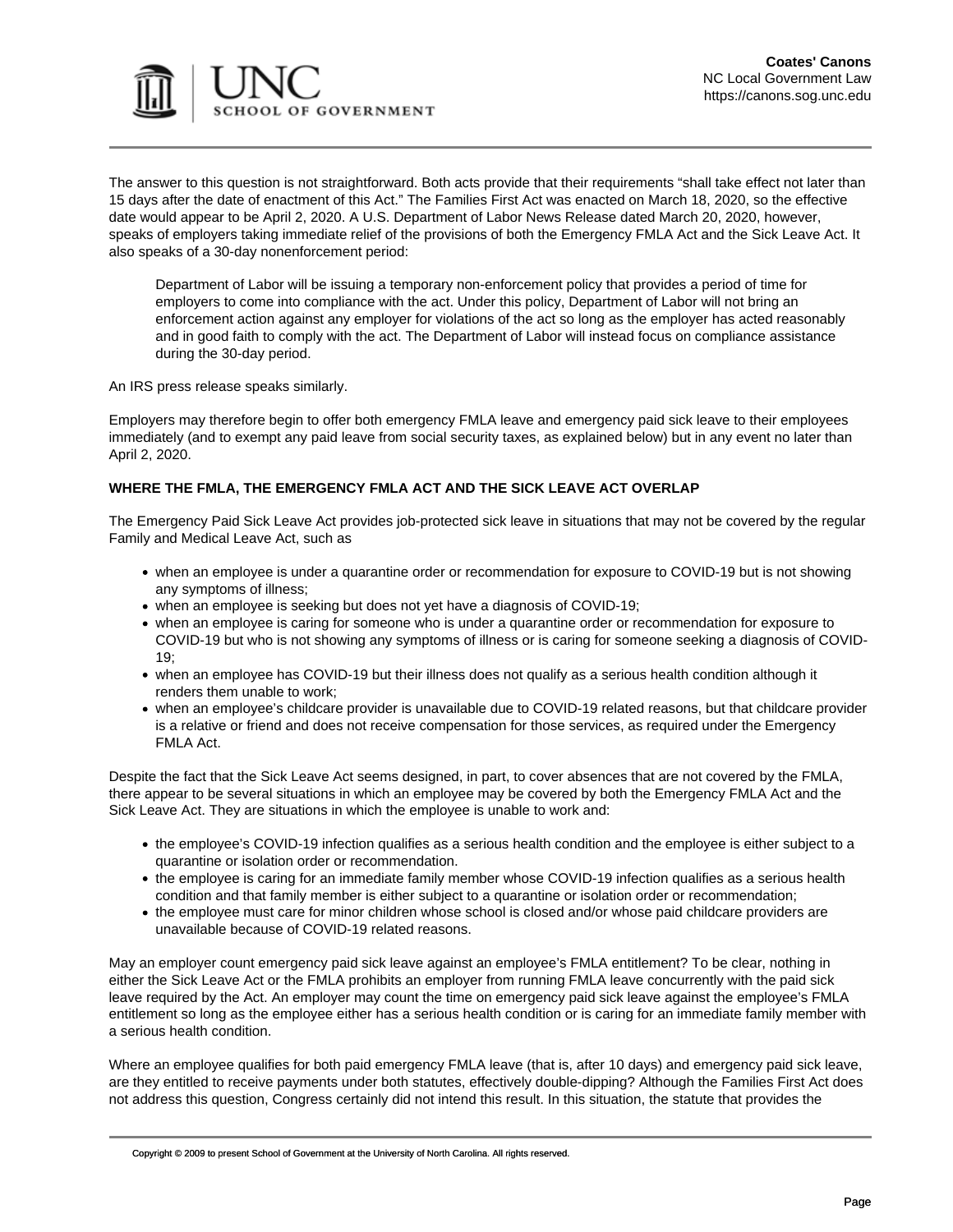

The answer to this question is not straightforward. Both acts provide that their requirements "shall take effect not later than 15 days after the date of enactment of this Act." The Families First Act was enacted on March 18, 2020, so the effective date would appear to be April 2, 2020. A [U.S. Department of Labor News Release](https://www.dol.gov/newsroom/releases/osec/osec20200320) dated March 20, 2020, however, speaks of employers taking immediate relief of the provisions of both the Emergency FMLA Act and the Sick Leave Act. It also speaks of a 30-day nonenforcement period:

Department of Labor will be issuing a temporary non-enforcement policy that provides a period of time for employers to come into compliance with the act. Under this policy, Department of Labor will not bring an enforcement action against any employer for violations of the act so long as the employer has acted reasonably and in good faith to comply with the act. The Department of Labor will instead focus on compliance assistance during the 30-day period.

An [IRS press release](https://www.irs.gov/newsroom/treasury-irs-and-labor-announce-plan-to-implement-coronavirus-related-paid-leave-for-workers-and-tax-credits-for-small-and-midsize-businesses-to-swiftly-recover-the-cost-of-providing-coronavirus) speaks similarly.

Employers may therefore begin to offer both emergency FMLA leave and emergency paid sick leave to their employees immediately (and to exempt any paid leave from social security taxes, as explained below) but in any event no later than April 2, 2020.

# **WHERE THE FMLA, THE EMERGENCY FMLA ACT AND THE SICK LEAVE ACT OVERLAP**

The Emergency Paid Sick Leave Act provides job-protected sick leave in situations that may not be covered by the regular Family and Medical Leave Act, such as

- when an employee is under a quarantine order or recommendation for exposure to COVID-19 but is not showing any symptoms of illness;
- when an employee is seeking but does not yet have a diagnosis of COVID-19;
- when an employee is caring for someone who is under a quarantine order or recommendation for exposure to COVID-19 but who is not showing any symptoms of illness or is caring for someone seeking a diagnosis of COVID-19;
- when an employee has COVID-19 but their illness does not qualify as a serious health condition although it renders them unable to work;
- when an employee's childcare provider is unavailable due to COVID-19 related reasons, but that childcare provider is a relative or friend and does not receive compensation for those services, as required under the Emergency FMLA Act.

Despite the fact that the Sick Leave Act seems designed, in part, to cover absences that are not covered by the FMLA, there appear to be several situations in which an employee may be covered by both the Emergency FMLA Act and the Sick Leave Act. They are situations in which the employee is unable to work and:

- the employee's COVID-19 infection qualifies as a serious health condition and the employee is either subject to a quarantine or isolation order or recommendation.
- the employee is caring for an immediate family member whose COVID-19 infection qualifies as a serious health condition and that family member is either subject to a quarantine or isolation order or recommendation;
- the employee must care for minor children whose school is closed and/or whose paid childcare providers are unavailable because of COVID-19 related reasons.

May an employer count emergency paid sick leave against an employee's FMLA entitlement? To be clear, nothing in either the Sick Leave Act or the FMLA prohibits an employer from running FMLA leave concurrently with the paid sick leave required by the Act. An employer may count the time on emergency paid sick leave against the employee's FMLA entitlement so long as the employee either has a serious health condition or is caring for an immediate family member with a serious health condition.

Where an employee qualifies for both paid emergency FMLA leave (that is, after 10 days) and emergency paid sick leave, are they entitled to receive payments under both statutes, effectively double-dipping? Although the Families First Act does not address this question, Congress certainly did not intend this result. In this situation, the statute that provides the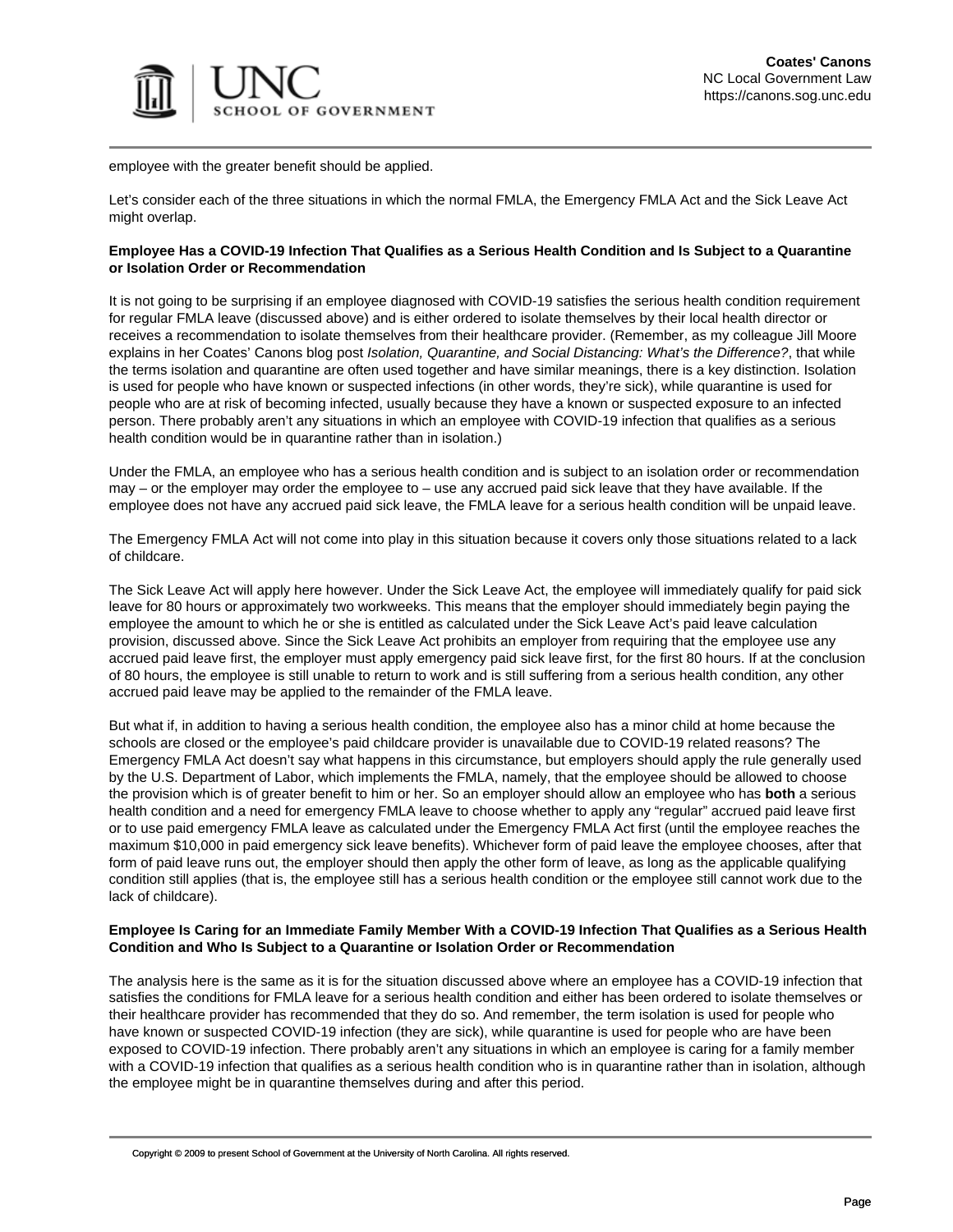

employee with the greater benefit should be applied.

Let's consider each of the three situations in which the normal FMLA, the Emergency FMLA Act and the Sick Leave Act might overlap.

# **Employee Has a COVID-19 Infection That Qualifies as a Serious Health Condition and Is Subject to a Quarantine or Isolation Order or Recommendation**

It is not going to be surprising if an employee diagnosed with COVID-19 satisfies the serious health condition requirement for regular FMLA leave (discussed above) and is either ordered to isolate themselves by their local health director or receives a recommendation to isolate themselves from their healthcare provider. (Remember, as my colleague Jill Moore explains in her Coates' Canons blog post [Isolation, Quarantine, and Social Distancing: What's the Difference?](https://canons.sog.unc.edu/isolation-quarantine-and-social-distancing-whats-the-difference/), that while the terms isolation and quarantine are often used together and have similar meanings, there is a key distinction. Isolation is used for people who have known or suspected infections (in other words, they're sick), while quarantine is used for people who are at risk of becoming infected, usually because they have a known or suspected exposure to an infected person. There probably aren't any situations in which an employee with COVID-19 infection that qualifies as a serious health condition would be in quarantine rather than in isolation.)

Under the FMLA, an employee who has a serious health condition and is subject to an isolation order or recommendation may – or the employer may order the employee to – use any accrued paid sick leave that they have available. If the employee does not have any accrued paid sick leave, the FMLA leave for a serious health condition will be unpaid leave.

The Emergency FMLA Act will not come into play in this situation because it covers only those situations related to a lack of childcare.

The Sick Leave Act will apply here however. Under the Sick Leave Act, the employee will immediately qualify for paid sick leave for 80 hours or approximately two workweeks. This means that the employer should immediately begin paying the employee the amount to which he or she is entitled as calculated under the Sick Leave Act's paid leave calculation provision, discussed above. Since the Sick Leave Act prohibits an employer from requiring that the employee use any accrued paid leave first, the employer must apply emergency paid sick leave first, for the first 80 hours. If at the conclusion of 80 hours, the employee is still unable to return to work and is still suffering from a serious health condition, any other accrued paid leave may be applied to the remainder of the FMLA leave.

But what if, in addition to having a serious health condition, the employee also has a minor child at home because the schools are closed or the employee's paid childcare provider is unavailable due to COVID-19 related reasons? The Emergency FMLA Act doesn't say what happens in this circumstance, but employers should apply the rule generally used by the U.S. Department of Labor, which implements the FMLA, namely, that the employee should be allowed to choose the provision which is of greater benefit to him or her. So an employer should allow an employee who has **both** a serious health condition and a need for emergency FMLA leave to choose whether to apply any "regular" accrued paid leave first or to use paid emergency FMLA leave as calculated under the Emergency FMLA Act first (until the employee reaches the maximum \$10,000 in paid emergency sick leave benefits). Whichever form of paid leave the employee chooses, after that form of paid leave runs out, the employer should then apply the other form of leave, as long as the applicable qualifying condition still applies (that is, the employee still has a serious health condition or the employee still cannot work due to the lack of childcare).

# **Employee Is Caring for an Immediate Family Member With a COVID-19 Infection That Qualifies as a Serious Health Condition and Who Is Subject to a Quarantine or Isolation Order or Recommendation**

The analysis here is the same as it is for the situation discussed above where an employee has a COVID-19 infection that satisfies the conditions for FMLA leave for a serious health condition and either has been ordered to isolate themselves or their healthcare provider has recommended that they do so. And remember, the term isolation is used for people who have known or suspected COVID-19 infection (they are sick), while quarantine is used for people who are have been exposed to COVID-19 infection. There probably aren't any situations in which an employee is caring for a family member with a COVID-19 infection that qualifies as a serious health condition who is in quarantine rather than in isolation, although the employee might be in quarantine themselves during and after this period.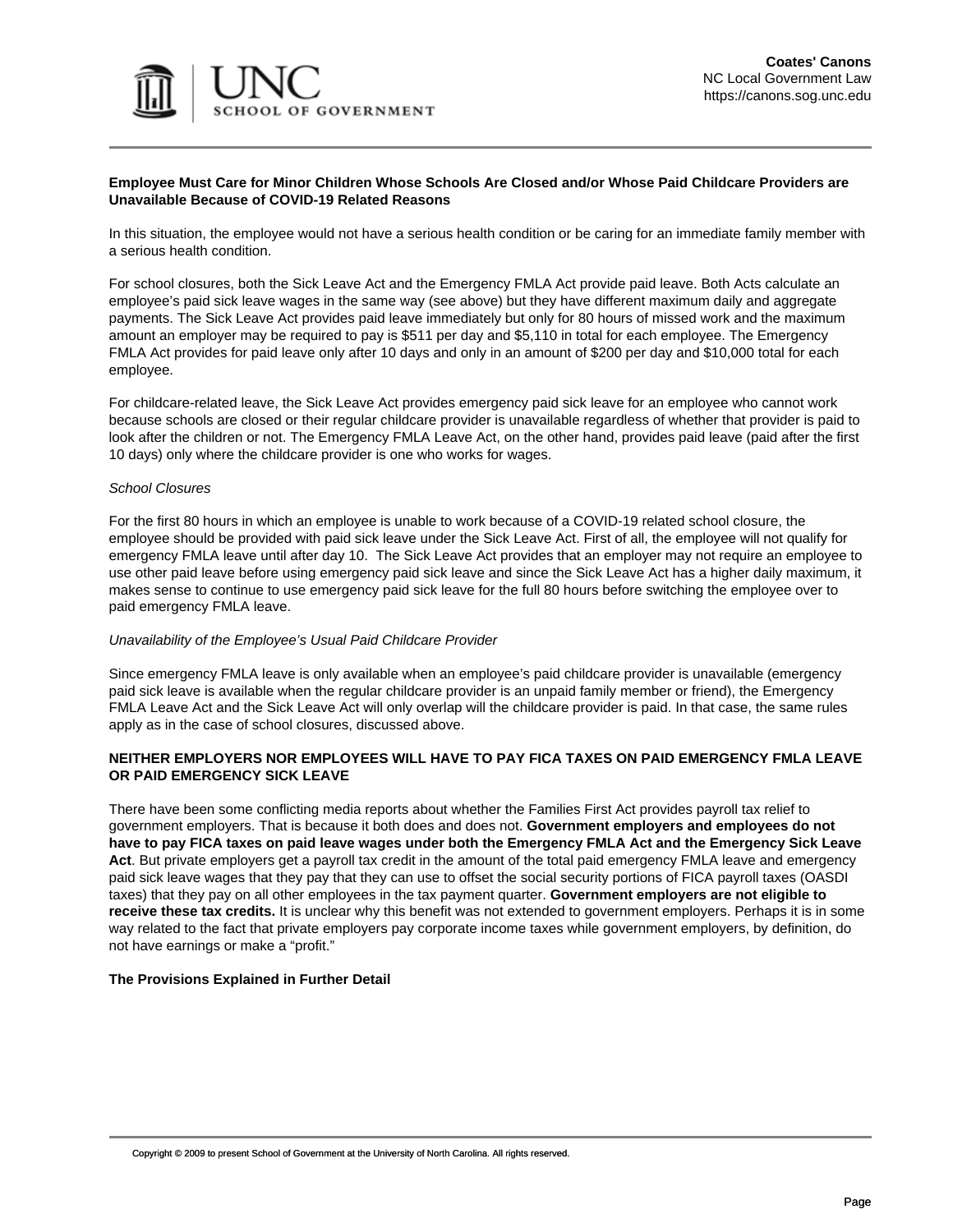

# **Employee Must Care for Minor Children Whose Schools Are Closed and/or Whose Paid Childcare Providers are Unavailable Because of COVID-19 Related Reasons**

In this situation, the employee would not have a serious health condition or be caring for an immediate family member with a serious health condition.

For school closures, both the Sick Leave Act and the Emergency FMLA Act provide paid leave. Both Acts calculate an employee's paid sick leave wages in the same way (see above) but they have different maximum daily and aggregate payments. The Sick Leave Act provides paid leave immediately but only for 80 hours of missed work and the maximum amount an employer may be required to pay is \$511 per day and \$5,110 in total for each employee. The Emergency FMLA Act provides for paid leave only after 10 days and only in an amount of \$200 per day and \$10,000 total for each employee.

For childcare-related leave, the Sick Leave Act provides emergency paid sick leave for an employee who cannot work because schools are closed or their regular childcare provider is unavailable regardless of whether that provider is paid to look after the children or not. The Emergency FMLA Leave Act, on the other hand, provides paid leave (paid after the first 10 days) only where the childcare provider is one who works for wages.

#### School Closures

For the first 80 hours in which an employee is unable to work because of a COVID-19 related school closure, the employee should be provided with paid sick leave under the Sick Leave Act. First of all, the employee will not qualify for emergency FMLA leave until after day 10. The Sick Leave Act provides that an employer may not require an employee to use other paid leave before using emergency paid sick leave and since the Sick Leave Act has a higher daily maximum, it makes sense to continue to use emergency paid sick leave for the full 80 hours before switching the employee over to paid emergency FMLA leave.

# Unavailability of the Employee's Usual Paid Childcare Provider

Since emergency FMLA leave is only available when an employee's paid childcare provider is unavailable (emergency paid sick leave is available when the regular childcare provider is an unpaid family member or friend), the Emergency FMLA Leave Act and the Sick Leave Act will only overlap will the childcare provider is paid. In that case, the same rules apply as in the case of school closures, discussed above.

# **NEITHER EMPLOYERS NOR EMPLOYEES WILL HAVE TO PAY FICA TAXES ON PAID EMERGENCY FMLA LEAVE OR PAID EMERGENCY SICK LEAVE**

There have been some conflicting media reports about whether the Families First Act provides payroll tax relief to government employers. That is because it both does and does not. **Government employers and employees do not have to pay FICA taxes on paid leave wages under both the Emergency FMLA Act and the Emergency Sick Leave Act**. But private employers get a payroll tax credit in the amount of the total paid emergency FMLA leave and emergency paid sick leave wages that they pay that they can use to offset the social security portions of FICA payroll taxes (OASDI taxes) that they pay on all other employees in the tax payment quarter. **Government employers are not eligible to receive these tax credits.** It is unclear why this benefit was not extended to government employers. Perhaps it is in some way related to the fact that private employers pay corporate income taxes while government employers, by definition, do not have earnings or make a "profit."

# **The Provisions Explained in Further Detail**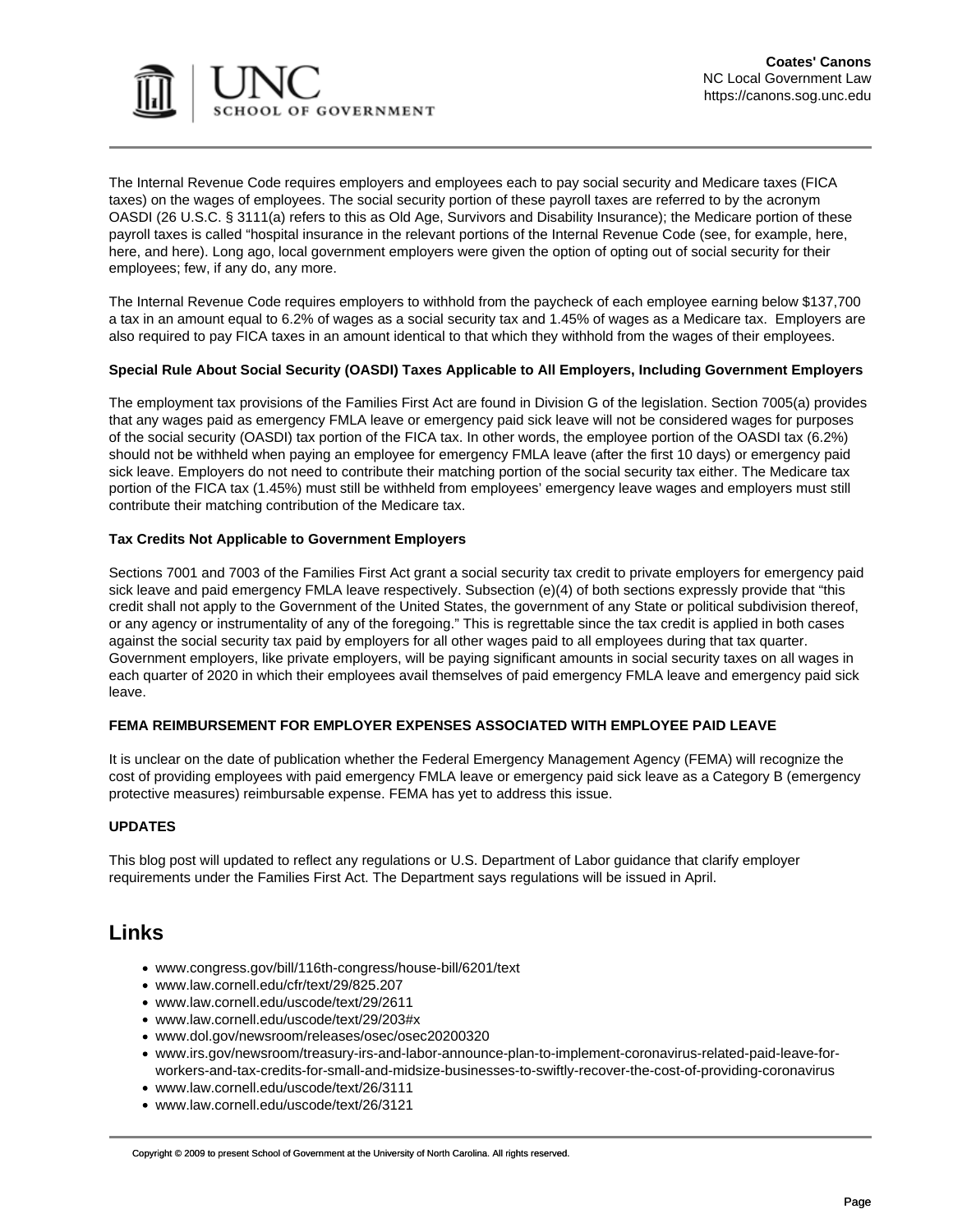

The Internal Revenue Code requires employers and employees each to pay social security and Medicare taxes (FICA taxes) on the wages of employees. The social security portion of these payroll taxes are referred to by the acronym OASDI ([26 U.S.C. § 3111\(a\)](https://www.law.cornell.edu/uscode/text/26/3111) refers to this as Old Age, Survivors and Disability Insurance); the Medicare portion of these payroll taxes is called "hospital insurance in the relevant portions of the Internal Revenue Code (see, for example, [here](https://www.law.cornell.edu/uscode/text/26/3111), [here](https://www.law.cornell.edu/uscode/text/26/3121), and [here\)](https://www.law.cornell.edu/uscode/text/26/3101). Long ago, local government employers were given the option of opting out of social security for their employees; few, if any do, any more.

[The Internal Revenue Code](https://www.law.cornell.edu/uscode/text/26/3101) requires employers to withhold from the paycheck of each employee earning below \$137,700 a tax in an amount equal to 6.2% of wages as a social security tax and 1.45% of wages as a Medicare tax. Employers are also required to pay FICA taxes in an amount identical to that which they withhold from the wages of their employees.

# **Special Rule About Social Security (OASDI) Taxes Applicable to All Employers, Including Government Employers**

The employment tax provisions of the [Families First Act](https://www.congress.gov/bill/116th-congress/house-bill/6201/text) are found in Division G of the legislation. Section 7005(a) provides that any wages paid as emergency FMLA leave or emergency paid sick leave will not be considered wages for purposes of the social security (OASDI) tax portion of the FICA tax. In other words, the employee portion of the OASDI tax (6.2%) should not be withheld when paying an employee for emergency FMLA leave (after the first 10 days) or emergency paid sick leave. Employers do not need to contribute their matching portion of the social security tax either. The Medicare tax portion of the FICA tax (1.45%) must still be withheld from employees' emergency leave wages and employers must still contribute their matching contribution of the Medicare tax.

# **Tax Credits Not Applicable to Government Employers**

Sections 7001 and 7003 of the Families First Act grant a social security tax credit to private employers for emergency paid sick leave and paid emergency FMLA leave respectively. Subsection (e)(4) of both sections expressly provide that "this credit shall not apply to the Government of the United States, the government of any State or political subdivision thereof, or any agency or instrumentality of any of the foregoing." This is regrettable since the tax credit is applied in both cases against the social security tax paid by employers for all other wages paid to all employees during that tax quarter. Government employers, like private employers, will be paying significant amounts in social security taxes on all wages in each quarter of 2020 in which their employees avail themselves of paid emergency FMLA leave and emergency paid sick leave.

# **FEMA REIMBURSEMENT FOR EMPLOYER EXPENSES ASSOCIATED WITH EMPLOYEE PAID LEAVE**

It is unclear on the date of publication whether the Federal Emergency Management Agency (FEMA) will recognize the cost of providing employees with paid emergency FMLA leave or emergency paid sick leave as a Category B (emergency protective measures) reimbursable expense. FEMA has yet to address this issue.

# **UPDATES**

This blog post will updated to reflect any regulations or U.S. Department of Labor guidance that clarify employer requirements under the Families First Act. The Department says regulations will be issued in April.

# **Links**

- [www.congress.gov/bill/116th-congress/house-bill/6201/text](https://www.congress.gov/bill/116th-congress/house-bill/6201/text)
- [www.law.cornell.edu/cfr/text/29/825.207](https://www.law.cornell.edu/cfr/text/29/825.207)
- [www.law.cornell.edu/uscode/text/29/2611](https://www.law.cornell.edu/uscode/text/29/2611)
- [www.law.cornell.edu/uscode/text/29/203#x](https://www.law.cornell.edu/uscode/text/29/203#x)
- [www.dol.gov/newsroom/releases/osec/osec20200320](https://www.dol.gov/newsroom/releases/osec/osec20200320)
- [www.irs.gov/newsroom/treasury-irs-and-labor-announce-plan-to-implement-coronavirus-related-paid-leave-for](https://www.irs.gov/newsroom/treasury-irs-and-labor-announce-plan-to-implement-coronavirus-related-paid-leave-for-workers-and-tax-credits-for-small-and-midsize-businesses-to-swiftly-recover-the-cost-of-providing-coronavirus)[workers-and-tax-credits-for-small-and-midsize-businesses-to-swiftly-recover-the-cost-of-providing-coronavirus](https://www.irs.gov/newsroom/treasury-irs-and-labor-announce-plan-to-implement-coronavirus-related-paid-leave-for-workers-and-tax-credits-for-small-and-midsize-businesses-to-swiftly-recover-the-cost-of-providing-coronavirus)
- [www.law.cornell.edu/uscode/text/26/3111](https://www.law.cornell.edu/uscode/text/26/3111)
- [www.law.cornell.edu/uscode/text/26/3121](https://www.law.cornell.edu/uscode/text/26/3121)